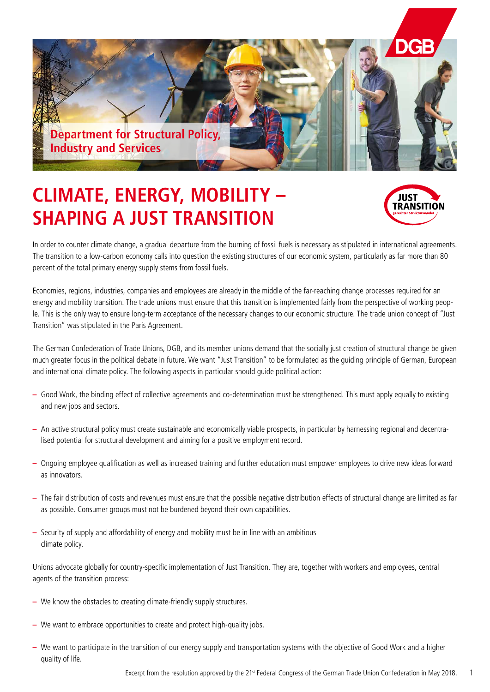

## **CLIMATE, ENERGY, MOBILITY – SHAPING A JUST TRANSITION**



In order to counter climate change, a gradual departure from the burning of fossil fuels is necessary as stipulated in international agreements. The transition to a low-carbon economy calls into question the existing structures of our economic system, particularly as far more than 80 percent of the total primary energy supply stems from fossil fuels.

Economies, regions, industries, companies and employees are already in the middle of the far-reaching change processes required for an energy and mobility transition. The trade unions must ensure that this transition is implemented fairly from the perspective of working people. This is the only way to ensure long-term acceptance of the necessary changes to our economic structure. The trade union concept of "Just Transition" was stipulated in the Paris Agreement.

The German Confederation of Trade Unions, DGB, and its member unions demand that the socially just creation of structural change be given much greater focus in the political debate in future. We want "Just Transition" to be formulated as the guiding principle of German, European and international climate policy. The following aspects in particular should guide political action:

- Good Work, the binding effect of collective agreements and co-determination must be strengthened. This must apply equally to existing and new jobs and sectors.
- An active structural policy must create sustainable and economically viable prospects, in particular by harnessing regional and decentralised potential for structural development and aiming for a positive employment record.
- Ongoing employee qualification as well as increased training and further education must empower employees to drive new ideas forward as innovators.
- The fair distribution of costs and revenues must ensure that the possible negative distribution effects of structural change are limited as far as possible. Consumer groups must not be burdened beyond their own capabilities.
- **–** Security of supply and affordability of energy and mobility must be in line with an ambitious climate policy.

Unions advocate globally for country-specific implementation of Just Transition. They are, together with workers and employees, central agents of the transition process:

- We know the obstacles to creating climate-friendly supply structures.
- We want to embrace opportunities to create and protect high-quality jobs.
- We want to participate in the transition of our energy supply and transportation systems with the objective of Good Work and a higher quality of life.